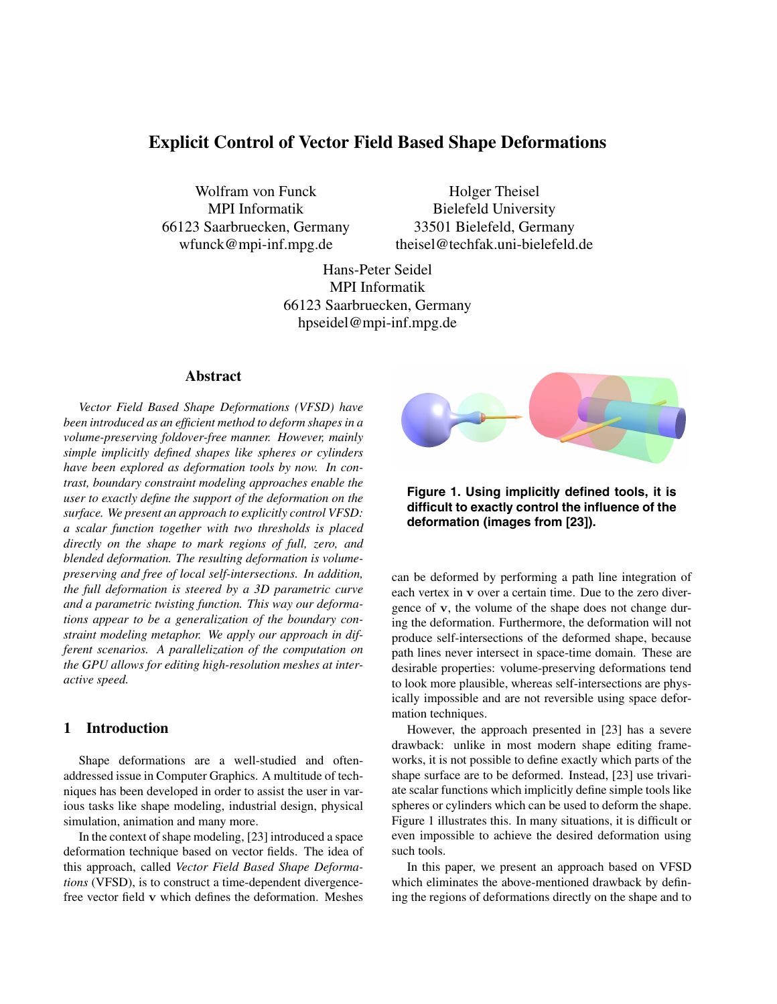# **Explicit Control of Vector Field Based Shape Deformations**

Wolfram von Funck MPI Informatik 66123 Saarbruecken, Germany wfunck@mpi-inf.mpg.de

Holger Theisel Bielefeld University 33501 Bielefeld, Germany theisel@techfak.uni-bielefeld.de

Hans-Peter Seidel MPI Informatik 66123 Saarbruecken, Germany hpseidel@mpi-inf.mpg.de

# **Abstract**

*Vector Field Based Shape Deformations (VFSD) have been introduced as an efficient method to deform shapes in a volume-preserving foldover-free manner. However, mainly simple implicitly defined shapes like spheres or cylinders have been explored as deformation tools by now. In contrast, boundary constraint modeling approaches enable the user to exactly define the support of the deformation on the surface. We present an approach to explicitly control VFSD: a scalar function together with two thresholds is placed directly on the shape to mark regions of full, zero, and blended deformation. The resulting deformation is volumepreserving and free of local self-intersections. In addition, the full deformation is steered by a 3D parametric curve and a parametric twisting function. This way our deformations appear to be a generalization of the boundary constraint modeling metaphor. We apply our approach in different scenarios. A parallelization of the computation on the GPU allows for editing high-resolution meshes at interactive speed.*

# **1 Introduction**

Shape deformations are a well-studied and oftenaddressed issue in Computer Graphics. A multitude of techniques has been developed in order to assist the user in various tasks like shape modeling, industrial design, physical simulation, animation and many more.

In the context of shape modeling, [23] introduced a space deformation technique based on vector fields. The idea of this approach, called *Vector Field Based Shape Deformations* (VFSD), is to construct a time-dependent divergencefree vector field **v** which defines the deformation. Meshes



**Figure 1. Using implicitly defined tools, it is difficult to exactly control the influence of the deformation (images from [23]).**

can be deformed by performing a path line integration of each vertex in **v** over a certain time. Due to the zero divergence of **v**, the volume of the shape does not change during the deformation. Furthermore, the deformation will not produce self-intersections of the deformed shape, because path lines never intersect in space-time domain. These are desirable properties: volume-preserving deformations tend to look more plausible, whereas self-intersections are physically impossible and are not reversible using space deformation techniques.

However, the approach presented in [23] has a severe drawback: unlike in most modern shape editing frameworks, it is not possible to define exactly which parts of the shape surface are to be deformed. Instead, [23] use trivariate scalar functions which implicitly define simple tools like spheres or cylinders which can be used to deform the shape. Figure 1 illustrates this. In many situations, it is difficult or even impossible to achieve the desired deformation using such tools.

In this paper, we present an approach based on VFSD which eliminates the above-mentioned drawback by defining the regions of deformations directly on the shape and to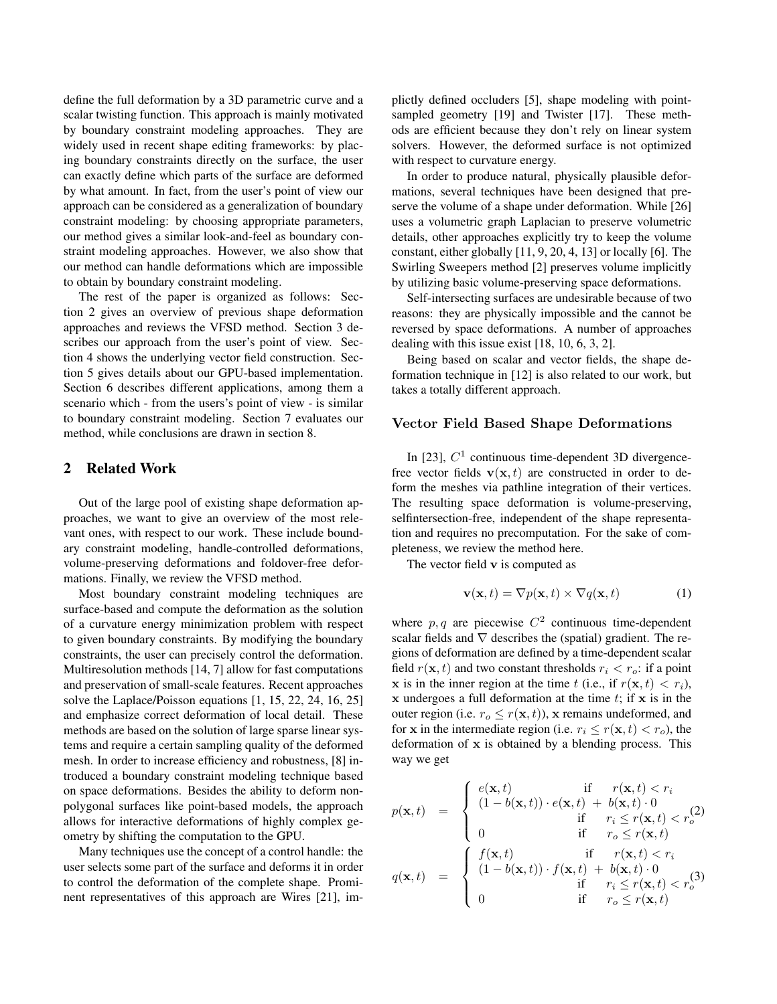define the full deformation by a 3D parametric curve and a scalar twisting function. This approach is mainly motivated by boundary constraint modeling approaches. They are widely used in recent shape editing frameworks: by placing boundary constraints directly on the surface, the user can exactly define which parts of the surface are deformed by what amount. In fact, from the user's point of view our approach can be considered as a generalization of boundary constraint modeling: by choosing appropriate parameters, our method gives a similar look-and-feel as boundary constraint modeling approaches. However, we also show that our method can handle deformations which are impossible to obtain by boundary constraint modeling.

The rest of the paper is organized as follows: Section 2 gives an overview of previous shape deformation approaches and reviews the VFSD method. Section 3 describes our approach from the user's point of view. Section 4 shows the underlying vector field construction. Section 5 gives details about our GPU-based implementation. Section 6 describes different applications, among them a scenario which - from the users's point of view - is similar to boundary constraint modeling. Section 7 evaluates our method, while conclusions are drawn in section 8.

## **2 Related Work**

Out of the large pool of existing shape deformation approaches, we want to give an overview of the most relevant ones, with respect to our work. These include boundary constraint modeling, handle-controlled deformations, volume-preserving deformations and foldover-free deformations. Finally, we review the VFSD method.

Most boundary constraint modeling techniques are surface-based and compute the deformation as the solution of a curvature energy minimization problem with respect to given boundary constraints. By modifying the boundary constraints, the user can precisely control the deformation. Multiresolution methods [14, 7] allow for fast computations and preservation of small-scale features. Recent approaches solve the Laplace/Poisson equations [1, 15, 22, 24, 16, 25] and emphasize correct deformation of local detail. These methods are based on the solution of large sparse linear systems and require a certain sampling quality of the deformed mesh. In order to increase efficiency and robustness, [8] introduced a boundary constraint modeling technique based on space deformations. Besides the ability to deform nonpolygonal surfaces like point-based models, the approach allows for interactive deformations of highly complex geometry by shifting the computation to the GPU.

Many techniques use the concept of a control handle: the user selects some part of the surface and deforms it in order to control the deformation of the complete shape. Prominent representatives of this approach are Wires [21], implictly defined occluders [5], shape modeling with pointsampled geometry [19] and Twister [17]. These methods are efficient because they don't rely on linear system solvers. However, the deformed surface is not optimized with respect to curvature energy.

In order to produce natural, physically plausible deformations, several techniques have been designed that preserve the volume of a shape under deformation. While [26] uses a volumetric graph Laplacian to preserve volumetric details, other approaches explicitly try to keep the volume constant, either globally [11, 9, 20, 4, 13] or locally [6]. The Swirling Sweepers method [2] preserves volume implicitly by utilizing basic volume-preserving space deformations.

Self-intersecting surfaces are undesirable because of two reasons: they are physically impossible and the cannot be reversed by space deformations. A number of approaches dealing with this issue exist [18, 10, 6, 3, 2].

Being based on scalar and vector fields, the shape deformation technique in [12] is also related to our work, but takes a totally different approach.

#### **Vector Field Based Shape Deformations**

In [23],  $C<sup>1</sup>$  continuous time-dependent 3D divergencefree vector fields  $\mathbf{v}(\mathbf{x}, t)$  are constructed in order to deform the meshes via pathline integration of their vertices. The resulting space deformation is volume-preserving, selfintersection-free, independent of the shape representation and requires no precomputation. For the sake of completeness, we review the method here.

The vector field **v** is computed as

$$
\mathbf{v}(\mathbf{x},t) = \nabla p(\mathbf{x},t) \times \nabla q(\mathbf{x},t)
$$
 (1)

where p, q are piecewise  $C^2$  continuous time-dependent scalar fields and  $\nabla$  describes the (spatial) gradient. The regions of deformation are defined by a time-dependent scalar field  $r(\mathbf{x}, t)$  and two constant thresholds  $r_i < r_o$ : if a point **x** is in the inner region at the time t (i.e., if  $r(\mathbf{x}, t) < r_i$ ),  $x$  undergoes a full deformation at the time  $t$ ; if  $x$  is in the outer region (i.e.  $r_o \leq r(\mathbf{x}, t)$ ), **x** remains undeformed, and for **x** in the intermediate region (i.e.  $r_i \leq r(\mathbf{x}, t) < r_o$ ), the deformation of **x** is obtained by a blending process. This way we get

$$
p(\mathbf{x},t) = \begin{cases} e(\mathbf{x},t) & \text{if } r(\mathbf{x},t) < r_i \\ (1-b(\mathbf{x},t)) \cdot e(\mathbf{x},t) + b(\mathbf{x},t) \cdot 0 \\ 0 & \text{if } r_i \le r(\mathbf{x},t) < r_o^{(2)} \\ 0 & \text{if } r_o \le r(\mathbf{x},t) \end{cases}
$$

$$
q(\mathbf{x},t) = \begin{cases} f(\mathbf{x},t) & \text{if } r(\mathbf{x},t) < r_i \\ (1-b(\mathbf{x},t)) \cdot f(\mathbf{x},t) + b(\mathbf{x},t) \cdot 0 \\ 0 & \text{if } r_i \le r(\mathbf{x},t) < r_o^{(3)} \\ 0 & \text{if } r_o \le r(\mathbf{x},t) \end{cases}
$$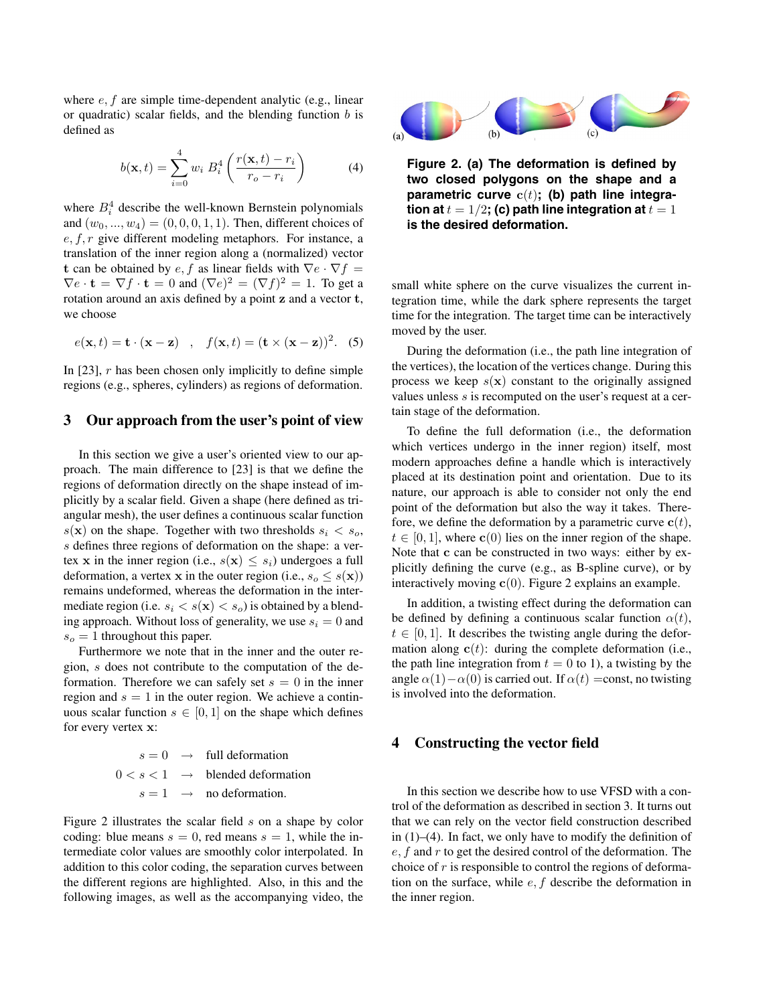where  $e, f$  are simple time-dependent analytic (e.g., linear or quadratic) scalar fields, and the blending function  $b$  is defined as

$$
b(\mathbf{x},t) = \sum_{i=0}^{4} w_i B_i^4 \left( \frac{r(\mathbf{x},t) - r_i}{r_o - r_i} \right)
$$
(4)

where  $B_i^4$  describe the well-known Bernstein polynomials<br>and  $(w_2 - w_1) = (0, 0, 0, 1, 1)$ . Then, different choices of and  $(w_0, ..., w_4) = (0, 0, 0, 1, 1)$ . Then, different choices of  $e, f, r$  give different modeling metaphors. For instance, a translation of the inner region along a (normalized) vector **t** can be obtained by  $e, f$  as linear fields with  $\nabla e \cdot \nabla f =$  $\nabla e \cdot \mathbf{t} = \nabla f \cdot \mathbf{t} = 0$  and  $(\nabla e)^2 = (\nabla f)^2 = 1$ . To get a rotation around an axis defined by a point **z** and a vector **t**, we choose

$$
e(\mathbf{x},t) = \mathbf{t} \cdot (\mathbf{x} - \mathbf{z}) \quad , \quad f(\mathbf{x},t) = (\mathbf{t} \times (\mathbf{x} - \mathbf{z}))^{2}.
$$
 (5)

In  $[23]$ , r has been chosen only implicitly to define simple regions (e.g., spheres, cylinders) as regions of deformation.

#### **3 Our approach from the user's point of view**

In this section we give a user's oriented view to our approach. The main difference to [23] is that we define the regions of deformation directly on the shape instead of implicitly by a scalar field. Given a shape (here defined as triangular mesh), the user defines a continuous scalar function  $s(\mathbf{x})$  on the shape. Together with two thresholds  $s_i < s_o$ , s defines three regions of deformation on the shape: a vertex **x** in the inner region (i.e.,  $s(\mathbf{x}) \leq s_i$ ) undergoes a full deformation, a vertex **x** in the outer region (i.e.,  $s_o \leq s(\mathbf{x})$ ) remains undeformed, whereas the deformation in the intermediate region (i.e.  $s_i < s(\mathbf{x}) < s_o$ ) is obtained by a blending approach. Without loss of generality, we use  $s_i = 0$  and  $s<sub>o</sub> = 1$  throughout this paper.

Furthermore we note that in the inner and the outer region, s does not contribute to the computation of the deformation. Therefore we can safely set  $s = 0$  in the inner region and  $s = 1$  in the outer region. We achieve a continuous scalar function  $s \in [0, 1]$  on the shape which defines for every vertex **x**:

|  | $s = 0 \rightarrow$ full deformation        |
|--|---------------------------------------------|
|  | $0 < s < 1 \rightarrow$ blended deformation |
|  | $s = 1 \rightarrow$ no deformation.         |
|  |                                             |

Figure 2 illustrates the scalar field s on a shape by color coding: blue means  $s = 0$ , red means  $s = 1$ , while the intermediate color values are smoothly color interpolated. In addition to this color coding, the separation curves between the different regions are highlighted. Also, in this and the following images, as well as the accompanying video, the



**Figure 2. (a) The deformation is defined by two closed polygons on the shape and a** parametric curve  $c(t)$ ; (b) path line integra**tion at**  $t = 1/2$ **; (c) path line integration at**  $t = 1$ **is the desired deformation.**

small white sphere on the curve visualizes the current integration time, while the dark sphere represents the target time for the integration. The target time can be interactively moved by the user.

During the deformation (i.e., the path line integration of the vertices), the location of the vertices change. During this process we keep  $s(x)$  constant to the originally assigned values unless  $s$  is recomputed on the user's request at a certain stage of the deformation.

To define the full deformation (i.e., the deformation which vertices undergo in the inner region) itself, most modern approaches define a handle which is interactively placed at its destination point and orientation. Due to its nature, our approach is able to consider not only the end point of the deformation but also the way it takes. Therefore, we define the deformation by a parametric curve  $c(t)$ ,  $t \in [0, 1]$ , where **c**(0) lies on the inner region of the shape. Note that **c** can be constructed in two ways: either by explicitly defining the curve (e.g., as B-spline curve), or by interactively moving **c**(0). Figure 2 explains an example.

In addition, a twisting effect during the deformation can be defined by defining a continuous scalar function  $\alpha(t)$ ,  $t \in [0, 1]$ . It describes the twisting angle during the deformation along  $c(t)$ : during the complete deformation (i.e., the path line integration from  $t = 0$  to 1), a twisting by the angle  $\alpha(1)-\alpha(0)$  is carried out. If  $\alpha(t) =$ const, no twisting is involved into the deformation.

## **4 Constructing the vector field**

In this section we describe how to use VFSD with a control of the deformation as described in section 3. It turns out that we can rely on the vector field construction described in (1)–(4). In fact, we only have to modify the definition of  $e, f$  and r to get the desired control of the deformation. The choice of  $r$  is responsible to control the regions of deformation on the surface, while  $e, f$  describe the deformation in the inner region.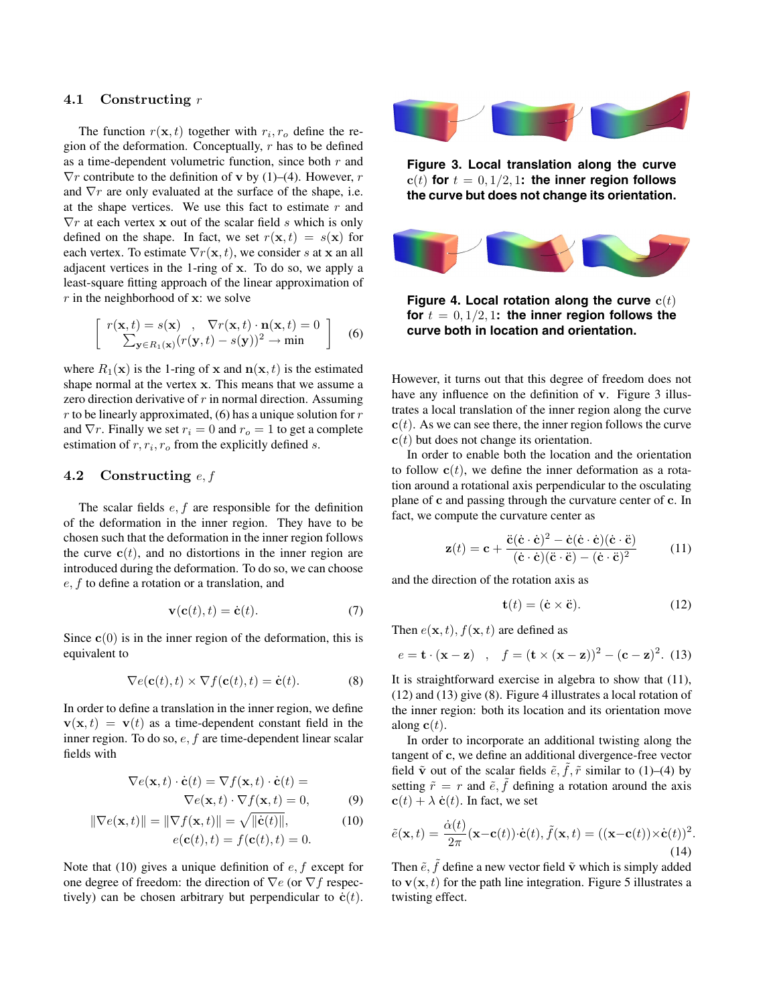#### **4.1 Constructing** r

The function  $r(\mathbf{x}, t)$  together with  $r_i, r_o$  define the region of the deformation. Conceptually,  $r$  has to be defined as a time-dependent volumetric function, since both  $r$  and  $\nabla r$  contribute to the definition of **v** by (1)–(4). However, *r* and  $\nabla r$  are only evaluated at the surface of the shape, i.e. at the shape vertices. We use this fact to estimate  $r$  and  $\nabla r$  at each vertex **x** out of the scalar field s which is only defined on the shape. In fact, we set  $r(\mathbf{x}, t) = s(\mathbf{x})$  for each vertex. To estimate  $\nabla r(\mathbf{x}, t)$ , we consider s at **x** an all adjacent vertices in the 1-ring of **x**. To do so, we apply a least-square fitting approach of the linear approximation of r in the neighborhood of **<sup>x</sup>**: we solve

$$
\begin{bmatrix}\nr(\mathbf{x},t) = s(\mathbf{x}) & , \quad \nabla r(\mathbf{x},t) \cdot \mathbf{n}(\mathbf{x},t) = 0 \\
\sum_{\mathbf{y} \in R_1(\mathbf{x})} (r(\mathbf{y},t) - s(\mathbf{y}))^2 \rightarrow \min\n\end{bmatrix}
$$
\n(6)

where  $R_1(\mathbf{x})$  is the 1-ring of **x** and  $\mathbf{n}(\mathbf{x}, t)$  is the estimated shape normal at the vertex **x**. This means that we assume a zero direction derivative of  $r$  in normal direction. Assuming r to be linearly approximated,  $(6)$  has a unique solution for r and  $\nabla r$ . Finally we set  $r_i = 0$  and  $r_o = 1$  to get a complete estimation of r, r*i*, r*o* from the explicitly defined <sup>s</sup>.

## **4.2 Constructing** e, f

The scalar fields  $e, f$  are responsible for the definition of the deformation in the inner region. They have to be chosen such that the deformation in the inner region follows the curve  $c(t)$ , and no distortions in the inner region are introduced during the deformation. To do so, we can choose e, f to define a rotation or a translation, and

$$
\mathbf{v}(\mathbf{c}(t),t) = \dot{\mathbf{c}}(t). \tag{7}
$$

Since  $c(0)$  is in the inner region of the deformation, this is equivalent to

$$
\nabla e(\mathbf{c}(t),t) \times \nabla f(\mathbf{c}(t),t) = \dot{\mathbf{c}}(t). \tag{8}
$$

In order to define a translation in the inner region, we define  $\mathbf{v}(\mathbf{x}, t) = \mathbf{v}(t)$  as a time-dependent constant field in the inner region. To do so, e, f are time-dependent linear scalar fields with

$$
\nabla e(\mathbf{x}, t) \cdot \dot{\mathbf{c}}(t) = \nabla f(\mathbf{x}, t) \cdot \dot{\mathbf{c}}(t) =
$$

$$
\nabla e(\mathbf{x}, t) \cdot \nabla f(\mathbf{x}, t) = 0,
$$
(9)

$$
\|\nabla e(\mathbf{x},t)\| = \|\nabla f(\mathbf{x},t)\| = \sqrt{\|\dot{\mathbf{c}}(t)\|},
$$
  
\n
$$
e(\mathbf{c}(t),t) = f(\mathbf{c}(t),t) = 0.
$$
\n(10)

Note that (10) gives a unique definition of  $e, f$  except for one degree of freedom: the direction of  $\nabla e$  (or  $\nabla f$  respectively) can be chosen arbitrary but perpendicular to  $\dot{\mathbf{c}}(t)$ .



**Figure 3. Local translation along the curve**  $c(t)$  for  $t = 0, 1/2, 1$ : the inner region follows **the curve but does not change its orientation.**



**Figure 4. Local rotation along the curve**  $c(t)$ for  $t = 0, 1/2, 1$ : the inner region follows the **curve both in location and orientation.**

However, it turns out that this degree of freedom does not have any influence on the definition of **v**. Figure 3 illustrates a local translation of the inner region along the curve **. As we can see there, the inner region follows the curve**  $c(t)$  but does not change its orientation.

In order to enable both the location and the orientation to follow  $c(t)$ , we define the inner deformation as a rotation around a rotational axis perpendicular to the osculating plane of **c** and passing through the curvature center of **c**. In fact, we compute the curvature center as

$$
\mathbf{z}(t) = \mathbf{c} + \frac{\ddot{\mathbf{c}}(\dot{\mathbf{c}} \cdot \dot{\mathbf{c}})^2 - \dot{\mathbf{c}}(\dot{\mathbf{c}} \cdot \dot{\mathbf{c}})(\dot{\mathbf{c}} \cdot \ddot{\mathbf{c}})}{(\dot{\mathbf{c}} \cdot \dot{\mathbf{c}})(\ddot{\mathbf{c}} \cdot \ddot{\mathbf{c}}) - (\dot{\mathbf{c}} \cdot \ddot{\mathbf{c}})^2}
$$
(11)

and the direction of the rotation axis as

$$
\mathbf{t}(t) = (\dot{\mathbf{c}} \times \ddot{\mathbf{c}}). \tag{12}
$$

Then  $e(\mathbf{x}, t)$ ,  $f(\mathbf{x}, t)$  are defined as

$$
e = \mathbf{t} \cdot (\mathbf{x} - \mathbf{z}) \quad , \quad f = (\mathbf{t} \times (\mathbf{x} - \mathbf{z}))^{2} - (\mathbf{c} - \mathbf{z})^{2}. \tag{13}
$$

It is straightforward exercise in algebra to show that (11), (12) and (13) give (8). Figure 4 illustrates a local rotation of the inner region: both its location and its orientation move along  $c(t)$ .

In order to incorporate an additional twisting along the tangent of **c**, we define an additional divergence-free vector field  $\tilde{\mathbf{v}}$  out of the scalar fields  $\tilde{e}$ ,  $f$ ,  $\tilde{r}$  similar to (1)–(4) by setting  $\tilde{r} = r$  and  $\tilde{e}$ , f defining a rotation around the axis  $\mathbf{c}(t) + \lambda \dot{\mathbf{c}}(t)$ . In fact, we set

$$
\tilde{e}(\mathbf{x},t) = \frac{\dot{\alpha}(t)}{2\pi}(\mathbf{x}-\mathbf{c}(t))\cdot\dot{\mathbf{c}}(t), \tilde{f}(\mathbf{x},t) = ((\mathbf{x}-\mathbf{c}(t))\times\dot{\mathbf{c}}(t))^2.
$$
\n(14)

Then  $\tilde{e}$ ,  $\tilde{f}$  define a new vector field  $\tilde{v}$  which is simply added to  $\mathbf{v}(\mathbf{x}, t)$  for the path line integration. Figure 5 illustrates a twisting effect.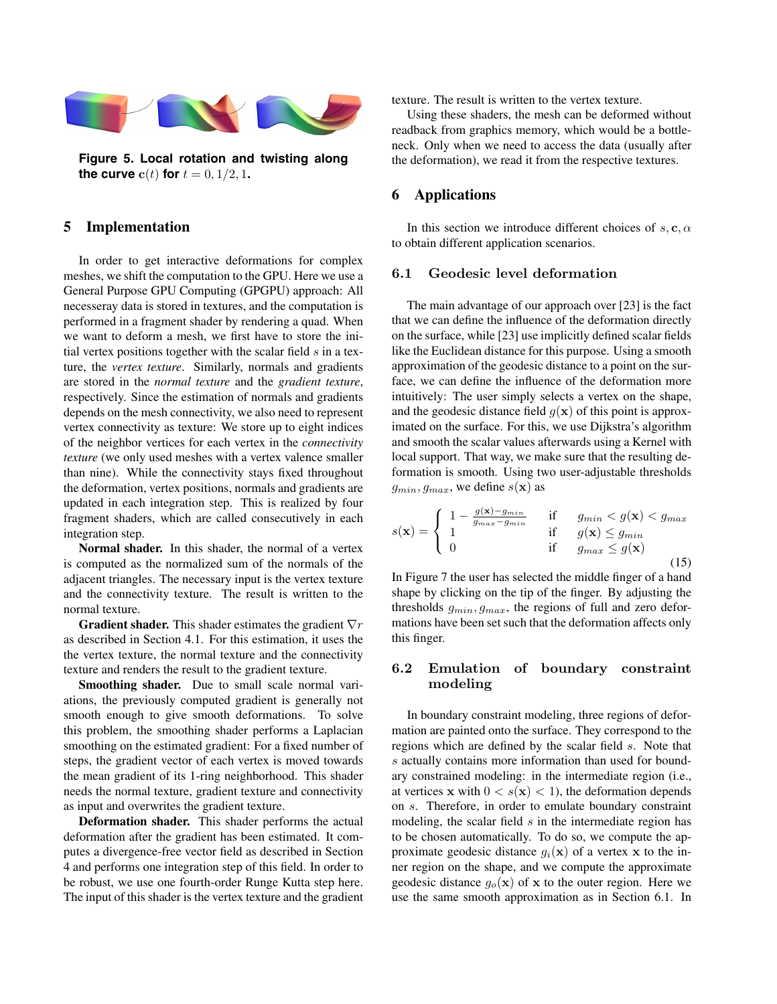

**Figure 5. Local rotation and twisting along the curve**  $c(t)$  **for**  $t = 0, 1/2, 1$ .

## **5 Implementation**

In order to get interactive deformations for complex meshes, we shift the computation to the GPU. Here we use a General Purpose GPU Computing (GPGPU) approach: All necesseray data is stored in textures, and the computation is performed in a fragment shader by rendering a quad. When we want to deform a mesh, we first have to store the initial vertex positions together with the scalar field  $s$  in a texture, the *vertex texture*. Similarly, normals and gradients are stored in the *normal texture* and the *gradient texture*, respectively. Since the estimation of normals and gradients depends on the mesh connectivity, we also need to represent vertex connectivity as texture: We store up to eight indices of the neighbor vertices for each vertex in the *connectivity texture* (we only used meshes with a vertex valence smaller than nine). While the connectivity stays fixed throughout the deformation, vertex positions, normals and gradients are updated in each integration step. This is realized by four fragment shaders, which are called consecutively in each integration step.

**Normal shader.** In this shader, the normal of a vertex is computed as the normalized sum of the normals of the adjacent triangles. The necessary input is the vertex texture and the connectivity texture. The result is written to the normal texture.

**Gradient shader.** This shader estimates the gradient  $\nabla r$ as described in Section 4.1. For this estimation, it uses the the vertex texture, the normal texture and the connectivity texture and renders the result to the gradient texture.

**Smoothing shader.** Due to small scale normal variations, the previously computed gradient is generally not smooth enough to give smooth deformations. To solve this problem, the smoothing shader performs a Laplacian smoothing on the estimated gradient: For a fixed number of steps, the gradient vector of each vertex is moved towards the mean gradient of its 1-ring neighborhood. This shader needs the normal texture, gradient texture and connectivity as input and overwrites the gradient texture.

**Deformation shader.** This shader performs the actual deformation after the gradient has been estimated. It computes a divergence-free vector field as described in Section 4 and performs one integration step of this field. In order to be robust, we use one fourth-order Runge Kutta step here. The input of this shader is the vertex texture and the gradient texture. The result is written to the vertex texture.

Using these shaders, the mesh can be deformed without readback from graphics memory, which would be a bottleneck. Only when we need to access the data (usually after the deformation), we read it from the respective textures.

# **6 Applications**

In this section we introduce different choices of  $s, c, \alpha$ to obtain different application scenarios.

#### **6.1 Geodesic level deformation**

The main advantage of our approach over [23] is the fact that we can define the influence of the deformation directly on the surface, while [23] use implicitly defined scalar fields like the Euclidean distance for this purpose. Using a smooth approximation of the geodesic distance to a point on the surface, we can define the influence of the deformation more intuitively: The user simply selects a vertex on the shape, and the geodesic distance field  $g(x)$  of this point is approximated on the surface. For this, we use Dijkstra's algorithm and smooth the scalar values afterwards using a Kernel with local support. That way, we make sure that the resulting deformation is smooth. Using two user-adjustable thresholds  $g_{min}, g_{max}$ , we define  $s(\mathbf{x})$  as

$$
s(\mathbf{x}) = \begin{cases} 1 - \frac{g(\mathbf{x}) - g_{min}}{g_{max} - g_{min}} & \text{if } g_{min} < g(\mathbf{x}) < g_{max} \\ 1 & \text{if } g(\mathbf{x}) \le g_{min} \\ 0 & \text{if } g_{max} \le g(\mathbf{x}) \end{cases} \tag{15}
$$

In Figure 7 the user has selected the middle finger of a hand shape by clicking on the tip of the finger. By adjusting the thresholds <sup>g</sup>*min*, g*max*, the regions of full and zero deformations have been set such that the deformation affects only this finger.

## **6.2 Emulation of boundary constraint modeling**

In boundary constraint modeling, three regions of deformation are painted onto the surface. They correspond to the regions which are defined by the scalar field s. Note that s actually contains more information than used for boundary constrained modeling: in the intermediate region (i.e., at vertices **x** with  $0 < s(\mathbf{x}) < 1$ , the deformation depends on s. Therefore, in order to emulate boundary constraint modeling, the scalar field  $s$  in the intermediate region has to be chosen automatically. To do so, we compute the approximate geodesic distance  $g_i(\mathbf{x})$  of a vertex **x** to the inner region on the shape, and we compute the approximate geodesic distance  $g<sub>o</sub>(\mathbf{x})$  of **x** to the outer region. Here we use the same smooth approximation as in Section 6.1. In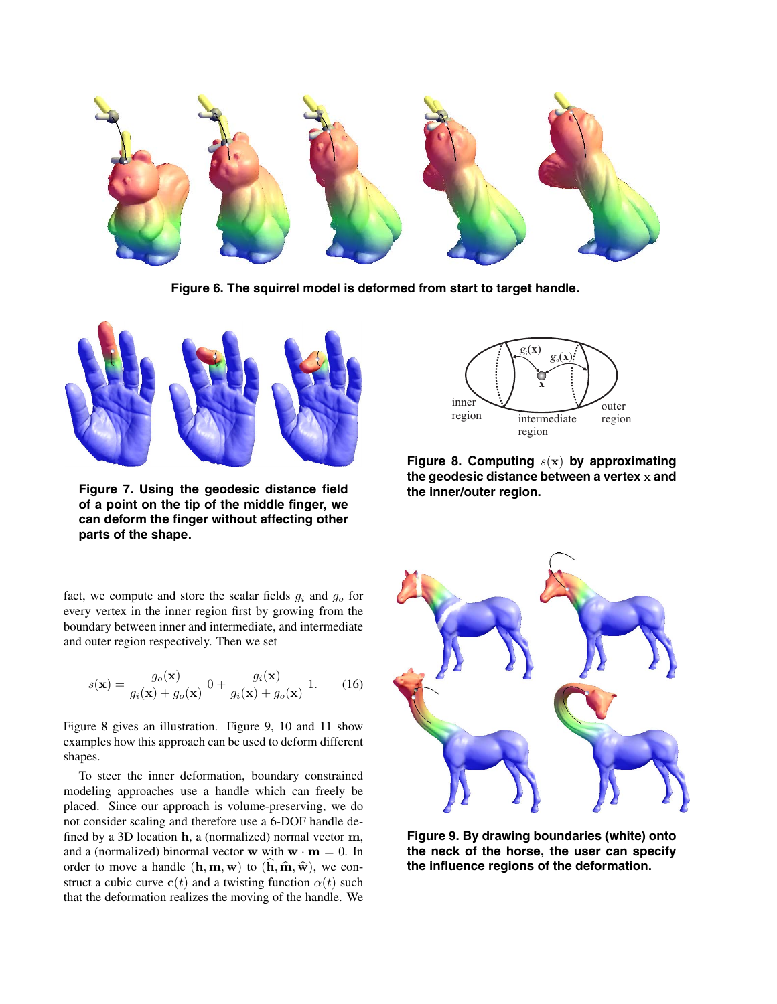

**Figure 6. The squirrel model is deformed from start to target handle.**



**Figure 7. Using the geodesic distance field of a point on the tip of the middle finger, we can deform the finger without affecting other parts of the shape.**

fact, we compute and store the scalar fields <sup>g</sup>*i* and <sup>g</sup>*o* for every vertex in the inner region first by growing from the boundary between inner and intermediate, and intermediate and outer region respectively. Then we set

$$
s(\mathbf{x}) = \frac{g_o(\mathbf{x})}{g_i(\mathbf{x}) + g_o(\mathbf{x})} \left( 0 + \frac{g_i(\mathbf{x})}{g_i(\mathbf{x}) + g_o(\mathbf{x})} \right) 1. \tag{16}
$$

Figure 8 gives an illustration. Figure 9, 10 and 11 show examples how this approach can be used to deform different shapes.

To steer the inner deformation, boundary constrained modeling approaches use a handle which can freely be placed. Since our approach is volume-preserving, we do not consider scaling and therefore use a 6-DOF handle defined by a 3D location **h**, a (normalized) normal vector **m**, and a (normalized) binormal vector **w** with  $\mathbf{w} \cdot \mathbf{m} = 0$ . In order to move a handle  $(h, m, w)$  to  $(\hat{h}, \hat{m}, \hat{w})$ , we construct a cubic curve  $c(t)$  and a twisting function  $\alpha(t)$  such that the deformation realizes the moving of the handle. We



**Figure 8. Computing** s(**x**) **by approximating the geodesic distance between a vertex x and the inner/outer region.**



**Figure 9. By drawing boundaries (white) onto the neck of the horse, the user can specify the influence regions of the deformation.**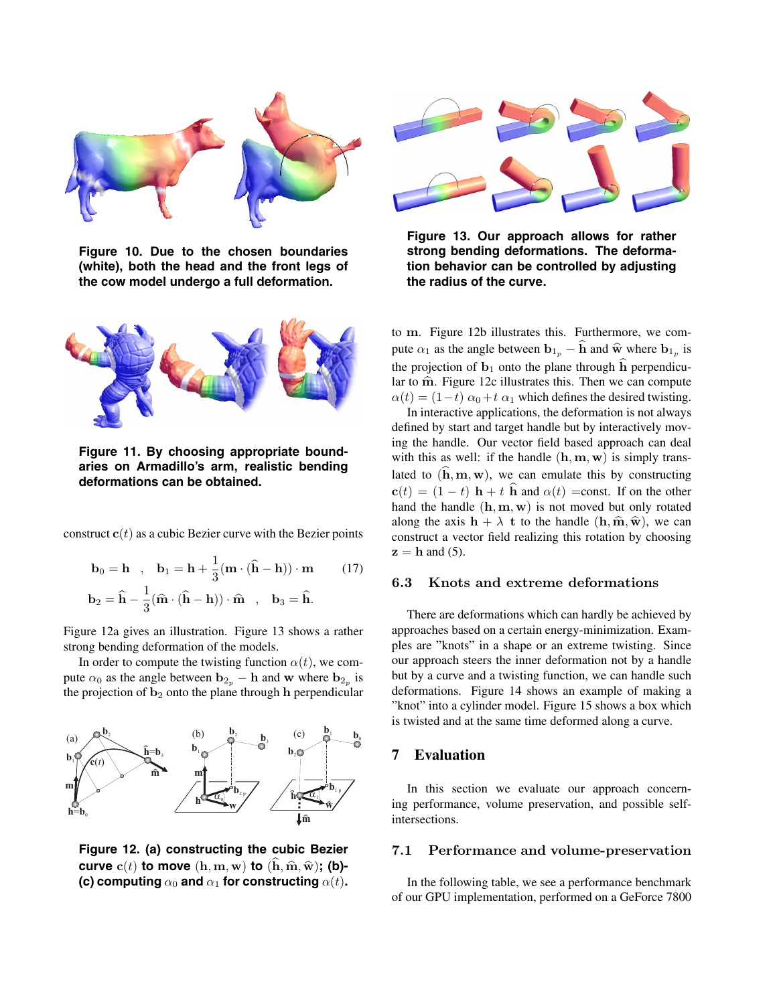

**Figure 10. Due to the chosen boundaries (white), both the head and the front legs of the cow model undergo a full deformation.**



**Figure 11. By choosing appropriate boundaries on Armadillo's arm, realistic bending deformations can be obtained.**

construct  $c(t)$  as a cubic Bezier curve with the Bezier points

$$
\mathbf{b}_0 = \mathbf{h} \quad , \quad \mathbf{b}_1 = \mathbf{h} + \frac{1}{3} (\mathbf{m} \cdot (\hat{\mathbf{h}} - \mathbf{h})) \cdot \mathbf{m} \tag{17}
$$
\n
$$
\mathbf{b}_2 = \hat{\mathbf{h}} - \frac{1}{3} (\hat{\mathbf{m}} \cdot (\hat{\mathbf{h}} - \mathbf{h})) \cdot \hat{\mathbf{m}} \quad , \quad \mathbf{b}_3 = \hat{\mathbf{h}}.
$$

Figure 12a gives an illustration. Figure 13 shows a rather strong bending deformation of the models.

In order to compute the twisting function  $\alpha(t)$ , we compute  $\alpha_0$  as the angle between  $\mathbf{b}_{2p} - \mathbf{h}$  and **w** where  $\mathbf{b}_{2p}$  is the projection of  $\mathbf{b}_2$  onto the plane through **h** perpendicular



**Figure 12. (a) constructing the cubic Bezier curve**  $c(t)$  **to move**  $(h, m, w)$  **to**  $(h, \hat{m}, \hat{w})$ ; (**b**)-**(c) computing**  $\alpha_0$  and  $\alpha_1$  for constructing  $\alpha(t)$ .



**Figure 13. Our approach allows for rather strong bending deformations. The deformation behavior can be controlled by adjusting the radius of the curve.**

to **m**. Figure 12b illustrates this. Furthermore, we compute  $\alpha_1$  as the angle between  $\mathbf{b}_{1p} - \hat{\mathbf{h}}$  and  $\hat{\mathbf{w}}$  where  $\mathbf{b}_{1p}$  is the projection of  $\mathbf{b}_1$  onto the plane through  $\hat{\mathbf{h}}$  perpendicular to  $\hat{m}$ . Figure 12c illustrates this. Then we can compute  $\alpha(t) = (1-t) \alpha_0 + t \alpha_1$  which defines the desired twisting.

In interactive applications, the deformation is not always defined by start and target handle but by interactively moving the handle. Our vector field based approach can deal with this as well: if the handle (**h**, **<sup>m</sup>**, **<sup>w</sup>**) is simply translated to  $(\hat{\mathbf{h}}, \mathbf{m}, \mathbf{w})$ , we can emulate this by constructing  $\mathbf{c}(t) = (1-t)\mathbf{h} + t\mathbf{\hat{h}}$  and  $\alpha(t) = \text{const.}$  If on the other hand the handle (**h**, **<sup>m</sup>**, **<sup>w</sup>**) is not moved but only rotated along the axis  $\mathbf{h} + \lambda \mathbf{t}$  to the handle  $(\mathbf{h}, \hat{\mathbf{m}}, \hat{\mathbf{w}})$ , we can construct a vector field realizing this rotation by choosing  $z = h$  and (5).

## **6.3 Knots and extreme deformations**

There are deformations which can hardly be achieved by approaches based on a certain energy-minimization. Examples are "knots" in a shape or an extreme twisting. Since our approach steers the inner deformation not by a handle but by a curve and a twisting function, we can handle such deformations. Figure 14 shows an example of making a "knot" into a cylinder model. Figure 15 shows a box which is twisted and at the same time deformed along a curve.

## **7 Evaluation**

In this section we evaluate our approach concerning performance, volume preservation, and possible selfintersections.

## **7.1 Performance and volume-preservation**

In the following table, we see a performance benchmark of our GPU implementation, performed on a GeForce 7800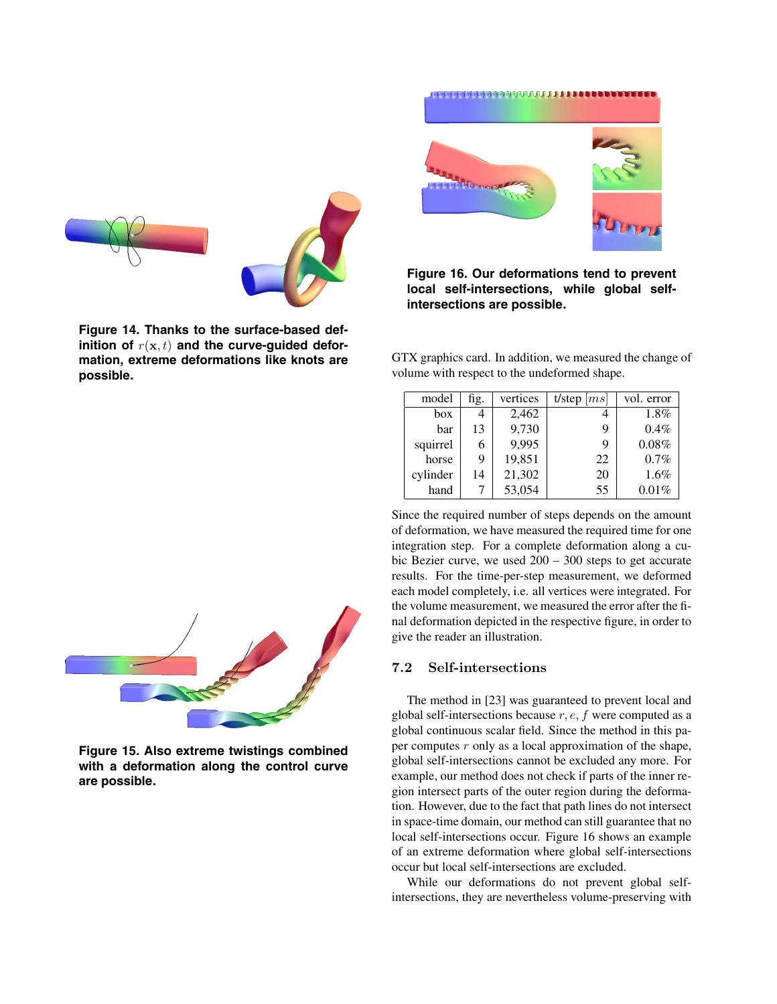

**Figure 14. Thanks to the surface-based def**inition of  $r(\mathbf{x}, t)$  and the curve-guided defor**mation, extreme deformations like knots are possible.**



**Figure 16. Our deformations tend to prevent local self-intersections, while global selfintersections are possible.**

GTX graphics card. In addition, we measured the change of volume with respect to the undeformed shape.

| model    | fig. | vertices | t/step $ ms $ | vol. error |
|----------|------|----------|---------------|------------|
| box      |      | 2,462    |               | 1.8%       |
| bar      | 13   | 9,730    | 9             | $0.4\%$    |
| squirrel | 6    | 9,995    | 9             | 0.08%      |
| horse    | 9    | 19,851   | 22            | 0.7%       |
| cylinder | 14   | 21,302   | 20            | $1.6\%$    |
| hand     | 7    | 53,054   | 55            | $0.01\%$   |

Since the required number of steps depends on the amount of deformation, we have measured the required time for one integration step. For a complete deformation along a cubic Bezier curve, we used 200 – 300 steps to get accurate results. For the time-per-step measurement, we deformed each model completely, i.e. all vertices were integrated. For the volume measurement, we measured the error after the final deformation depicted in the respective figure, in order to give the reader an illustration.

# **7.2 Self-intersections**

The method in [23] was guaranteed to prevent local and global self-intersections because  $r, e, f$  were computed as a global continuous scalar field. Since the method in this paper computes  $r$  only as a local approximation of the shape, global self-intersections cannot be excluded any more. For example, our method does not check if parts of the inner region intersect parts of the outer region during the deformation. However, due to the fact that path lines do not intersect in space-time domain, our method can still guarantee that no local self-intersections occur. Figure 16 shows an example of an extreme deformation where global self-intersections occur but local self-intersections are excluded.

While our deformations do not prevent global selfintersections, they are nevertheless volume-preserving with



**Figure 15. Also extreme twistings combined with a deformation along the control curve are possible.**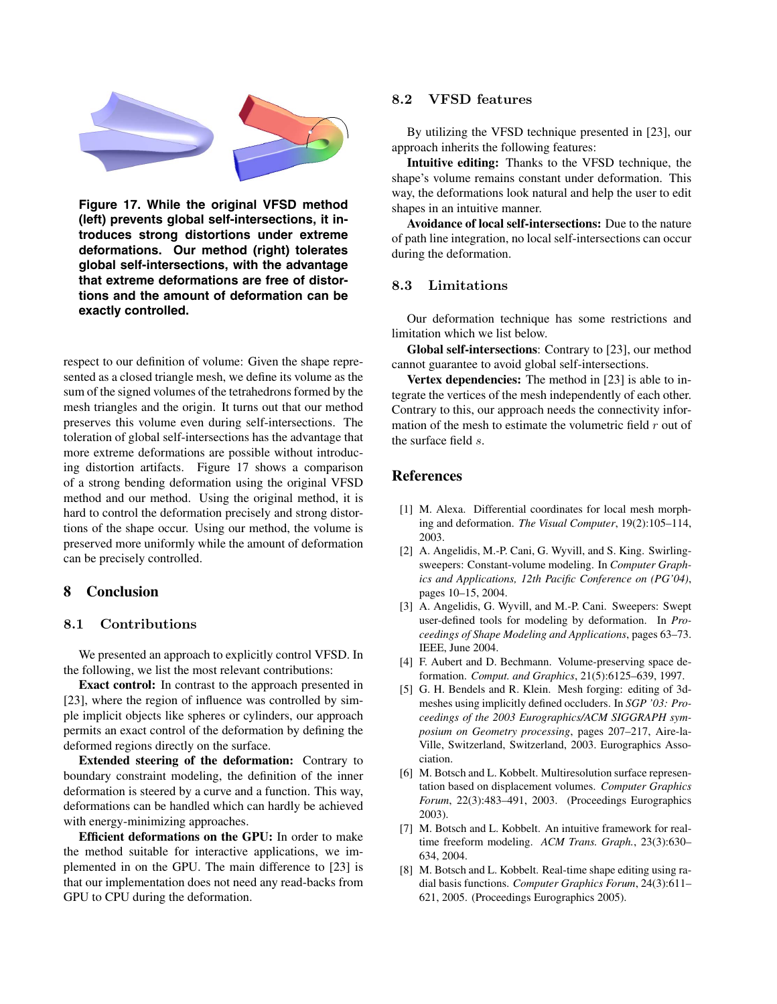

**Figure 17. While the original VFSD method (left) prevents global self-intersections, it introduces strong distortions under extreme deformations. Our method (right) tolerates global self-intersections, with the advantage that extreme deformations are free of distortions and the amount of deformation can be exactly controlled.**

respect to our definition of volume: Given the shape represented as a closed triangle mesh, we define its volume as the sum of the signed volumes of the tetrahedrons formed by the mesh triangles and the origin. It turns out that our method preserves this volume even during self-intersections. The toleration of global self-intersections has the advantage that more extreme deformations are possible without introducing distortion artifacts. Figure 17 shows a comparison of a strong bending deformation using the original VFSD method and our method. Using the original method, it is hard to control the deformation precisely and strong distortions of the shape occur. Using our method, the volume is preserved more uniformly while the amount of deformation can be precisely controlled.

## **8 Conclusion**

#### **8.1 Contributions**

We presented an approach to explicitly control VFSD. In the following, we list the most relevant contributions:

**Exact control:** In contrast to the approach presented in [23], where the region of influence was controlled by simple implicit objects like spheres or cylinders, our approach permits an exact control of the deformation by defining the deformed regions directly on the surface.

**Extended steering of the deformation:** Contrary to boundary constraint modeling, the definition of the inner deformation is steered by a curve and a function. This way, deformations can be handled which can hardly be achieved with energy-minimizing approaches.

**Efficient deformations on the GPU:** In order to make the method suitable for interactive applications, we implemented in on the GPU. The main difference to [23] is that our implementation does not need any read-backs from GPU to CPU during the deformation.

## **8.2 VFSD features**

By utilizing the VFSD technique presented in [23], our approach inherits the following features:

**Intuitive editing:** Thanks to the VFSD technique, the shape's volume remains constant under deformation. This way, the deformations look natural and help the user to edit shapes in an intuitive manner.

**Avoidance of local self-intersections:** Due to the nature of path line integration, no local self-intersections can occur during the deformation.

## **8.3 Limitations**

Our deformation technique has some restrictions and limitation which we list below.

**Global self-intersections**: Contrary to [23], our method cannot guarantee to avoid global self-intersections.

**Vertex dependencies:** The method in [23] is able to integrate the vertices of the mesh independently of each other. Contrary to this, our approach needs the connectivity information of the mesh to estimate the volumetric field  $r$  out of the surface field s.

## **References**

- [1] M. Alexa. Differential coordinates for local mesh morphing and deformation. *The Visual Computer*, 19(2):105–114, 2003.
- [2] A. Angelidis, M.-P. Cani, G. Wyvill, and S. King. Swirlingsweepers: Constant-volume modeling. In *Computer Graphics and Applications, 12th Pacific Conference on (PG'04)*, pages 10–15, 2004.
- [3] A. Angelidis, G. Wyvill, and M.-P. Cani. Sweepers: Swept user-defined tools for modeling by deformation. In *Proceedings of Shape Modeling and Applications*, pages 63–73. IEEE, June 2004.
- [4] F. Aubert and D. Bechmann. Volume-preserving space deformation. *Comput. and Graphics*, 21(5):6125–639, 1997.
- [5] G. H. Bendels and R. Klein. Mesh forging: editing of 3dmeshes using implicitly defined occluders. In *SGP '03: Proceedings of the 2003 Eurographics/ACM SIGGRAPH symposium on Geometry processing*, pages 207–217, Aire-la-Ville, Switzerland, Switzerland, 2003. Eurographics Association.
- [6] M. Botsch and L. Kobbelt. Multiresolution surface representation based on displacement volumes. *Computer Graphics Forum*, 22(3):483–491, 2003. (Proceedings Eurographics 2003).
- [7] M. Botsch and L. Kobbelt. An intuitive framework for realtime freeform modeling. *ACM Trans. Graph.*, 23(3):630– 634, 2004.
- [8] M. Botsch and L. Kobbelt. Real-time shape editing using radial basis functions. *Computer Graphics Forum*, 24(3):611– 621, 2005. (Proceedings Eurographics 2005).